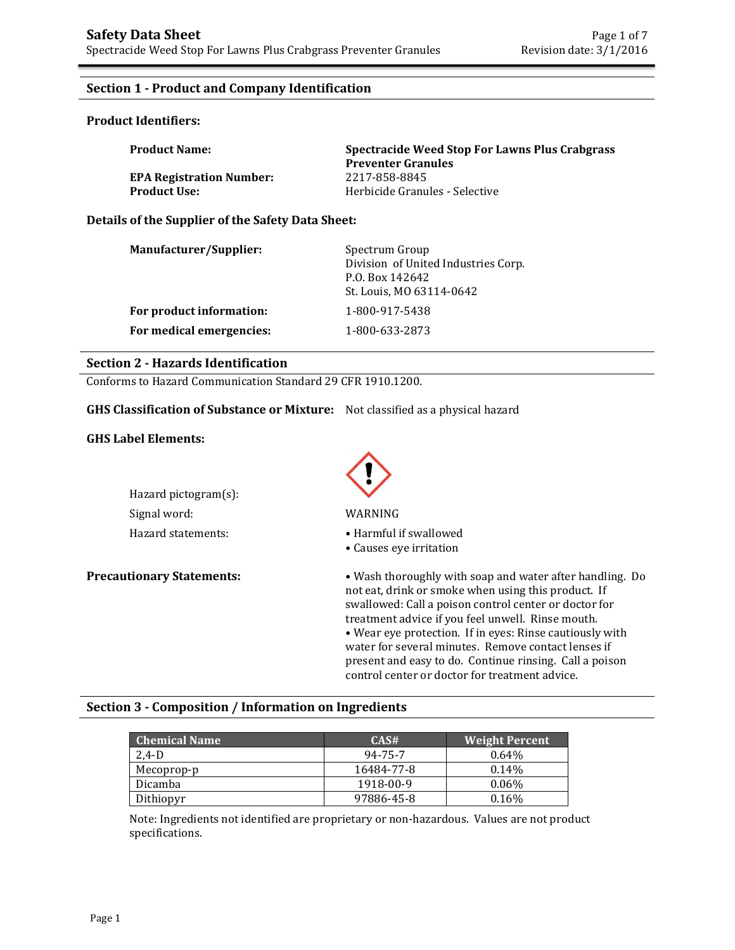## **Section 1 - Product and Company Identification**

### **Product Identifiers:**

| <b>Product Name:</b>            | Spectracide Weed Stop For Lawns Plus Crabgrass<br><b>Preventer Granules</b> |
|---------------------------------|-----------------------------------------------------------------------------|
| <b>EPA Registration Number:</b> | 2217-858-8845                                                               |
| <b>Product Use:</b>             | Herbicide Granules - Selective                                              |

### **Details of the Supplier of the Safety Data Sheet:**

| Manufacturer/Supplier:   | Spectrum Group<br>Division of United Industries Corp.<br>P.O. Box 142642<br>St. Louis, MO 63114-0642 |
|--------------------------|------------------------------------------------------------------------------------------------------|
| For product information: | 1-800-917-5438                                                                                       |
| For medical emergencies: | 1-800-633-2873                                                                                       |

### **Section 2 - Hazards Identification**

Conforms to Hazard Communication Standard 29 CFR 1910.1200.

**GHS Classification of Substance or Mixture:** Not classified as a physical hazard

### **GHS Label Elements:**

| Hazard pictogram(s): |                     |
|----------------------|---------------------|
| Signal word:         | WARNING             |
| Hazard statements:   | $\bullet$ Harmful i |



**Precautionary Statements:** • **•** Wash thoroughly with soap and water after handling. Do not eat, drink or smoke when using this product. If swallowed: Call a poison control center or doctor for treatment advice if you feel unwell. Rinse mouth. • Wear eye protection. If in eyes: Rinse cautiously with water for several minutes. Remove contact lenses if present and easy to do. Continue rinsing. Call a poison control center or doctor for treatment advice.

### **Section 3 - Composition / Information on Ingredients**

| <b>Chemical Name</b> | CAS#       | <b>Weight Percent</b> |
|----------------------|------------|-----------------------|
| 2.4-D                | 94-75-7    | 0.64%                 |
| Mecoprop-p           | 16484-77-8 | 0.14%                 |
| Dicamba              | 1918-00-9  | $0.06\%$              |
| Dithiopyr            | 97886-45-8 | $0.16\%$              |

Note: Ingredients not identified are proprietary or non-hazardous. Values are not product specifications.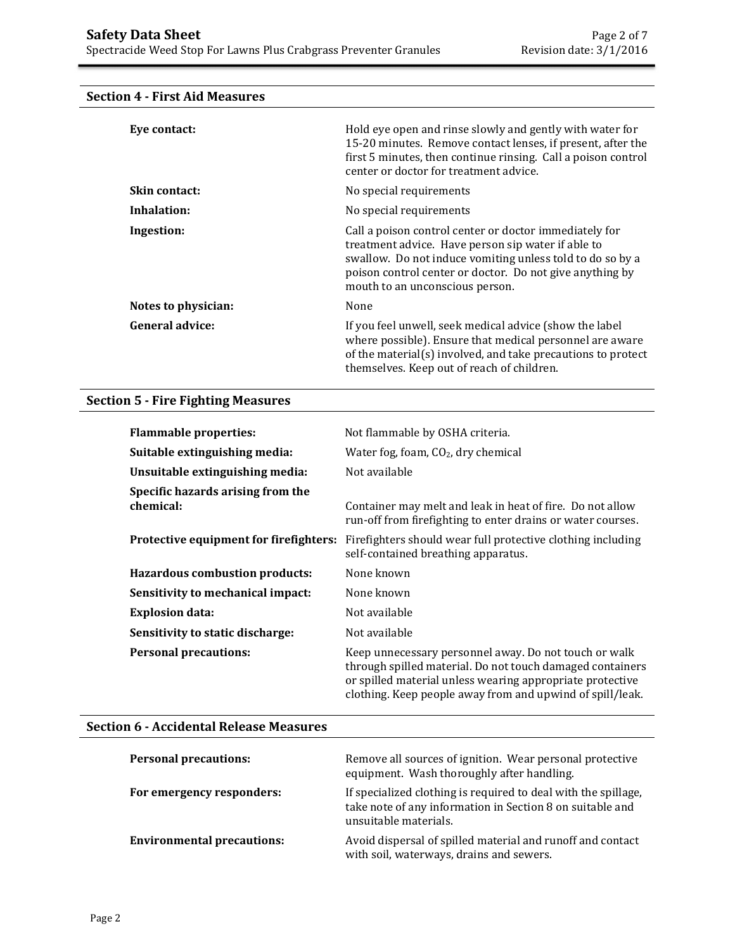# **Eye contact: Exercise 3** Hold eye open and rinse slowly and gently with water for 15-20 minutes. Remove contact lenses, if present, after the first 5 minutes, then continue rinsing. Call a poison control center or doctor for treatment advice. **Skin contact:** No special requirements **Inhalation:** No special requirements **Ingestion:** Call a poison control center or doctor immediately for treatment advice. Have person sip water if able to swallow. Do not induce vomiting unless told to do so by a poison control center or doctor. Do not give anything by mouth to an unconscious person. **Notes to physician:** None **General advice:** If you feel unwell, seek medical advice (show the label where possible). Ensure that medical personnel are aware of the material(s) involved, and take precautions to protect themselves. Keep out of reach of children.

### **Section 4 - First Aid Measures**

### **Section 5 - Fire Fighting Measures**

| <b>Flammable properties:</b>                   | Not flammable by OSHA criteria.                                                                                                                                                                                                              |
|------------------------------------------------|----------------------------------------------------------------------------------------------------------------------------------------------------------------------------------------------------------------------------------------------|
| Suitable extinguishing media:                  | Water fog, foam, $CO2$ , dry chemical                                                                                                                                                                                                        |
| Unsuitable extinguishing media:                | Not available                                                                                                                                                                                                                                |
| Specific hazards arising from the<br>chemical: | Container may melt and leak in heat of fire. Do not allow<br>run-off from firefighting to enter drains or water courses.                                                                                                                     |
| Protective equipment for firefighters:         | Firefighters should wear full protective clothing including<br>self-contained breathing apparatus.                                                                                                                                           |
| <b>Hazardous combustion products:</b>          | None known                                                                                                                                                                                                                                   |
| Sensitivity to mechanical impact:              | None known                                                                                                                                                                                                                                   |
| <b>Explosion data:</b>                         | Not available                                                                                                                                                                                                                                |
| Sensitivity to static discharge:               | Not available                                                                                                                                                                                                                                |
| <b>Personal precautions:</b>                   | Keep unnecessary personnel away. Do not touch or walk<br>through spilled material. Do not touch damaged containers<br>or spilled material unless wearing appropriate protective<br>clothing. Keep people away from and upwind of spill/leak. |

### **Section 6 - Accidental Release Measures**

| <b>Personal precautions:</b>      | Remove all sources of ignition. Wear personal protective<br>equipment. Wash thoroughly after handling.                                               |
|-----------------------------------|------------------------------------------------------------------------------------------------------------------------------------------------------|
| For emergency responders:         | If specialized clothing is required to deal with the spillage,<br>take note of any information in Section 8 on suitable and<br>unsuitable materials. |
| <b>Environmental precautions:</b> | Avoid dispersal of spilled material and runoff and contact<br>with soil, waterways, drains and sewers.                                               |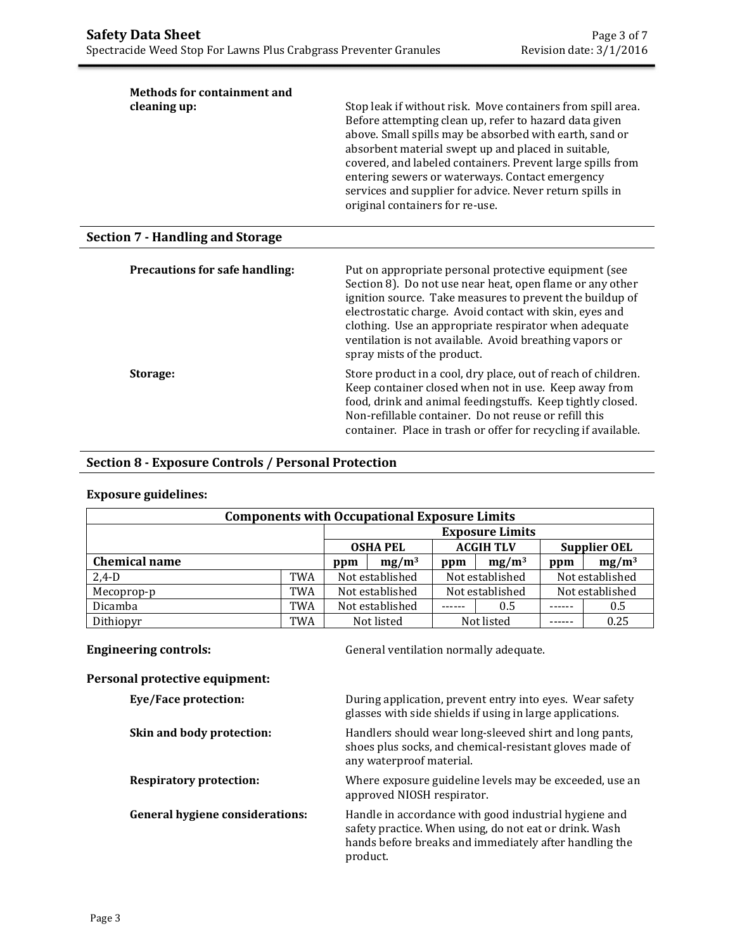| <b>Methods for containment and</b><br>cleaning up: | Stop leak if without risk. Move containers from spill area.<br>Before attempting clean up, refer to hazard data given<br>above. Small spills may be absorbed with earth, sand or<br>absorbent material swept up and placed in suitable,<br>covered, and labeled containers. Prevent large spills from<br>entering sewers or waterways. Contact emergency<br>services and supplier for advice. Never return spills in<br>original containers for re-use. |
|----------------------------------------------------|---------------------------------------------------------------------------------------------------------------------------------------------------------------------------------------------------------------------------------------------------------------------------------------------------------------------------------------------------------------------------------------------------------------------------------------------------------|
| <b>Section 7 - Handling and Storage</b>            |                                                                                                                                                                                                                                                                                                                                                                                                                                                         |
| Precautions for safe handling:                     | Put on appropriate personal protective equipment (see<br>Section 8). Do not use near heat, open flame or any other<br>ignition source. Take measures to prevent the buildup of<br>electrostatic charge. Avoid contact with skin, eyes and<br>clothing. Use an appropriate respirator when adequate<br>ventilation is not available. Avoid breathing vapors or<br>spray mists of the product.                                                            |
| Storage:                                           | Store product in a cool, dry place, out of reach of children.<br>Keep container closed when not in use. Keep away from<br>food, drink and animal feedingstuffs. Keep tightly closed.<br>Non-refillable container. Do not reuse or refill this<br>container. Place in trash or offer for recycling if available.                                                                                                                                         |

## **Section 8 - Exposure Controls / Personal Protection**

## **Exposure guidelines:**

| <b>Components with Occupational Exposure Limits</b>        |            |                        |  |     |                 |     |                 |
|------------------------------------------------------------|------------|------------------------|--|-----|-----------------|-----|-----------------|
|                                                            |            | <b>Exposure Limits</b> |  |     |                 |     |                 |
| <b>ACGIH TLV</b><br><b>OSHA PEL</b><br><b>Supplier OEL</b> |            |                        |  |     |                 |     |                 |
| <b>Chemical name</b>                                       |            | $mg/m^3$<br>ppm        |  | ppm | $mg/m^3$        | ppm | $mg/m^3$        |
| $2,4-D$                                                    | <b>TWA</b> | Not established        |  |     | Not established |     | Not established |
| Mecoprop-p                                                 | <b>TWA</b> | Not established        |  |     | Not established |     | Not established |
| Dicamba                                                    | <b>TWA</b> | Not established        |  |     | 0.5             |     | 0.5             |
| Dithiopyr                                                  | <b>TWA</b> | Not listed             |  |     | Not listed      |     | 0.25            |

**Engineering controls: Controls: General ventilation normally adequate.** 

### **Personal protective equipment:**

| <b>Eye/Face protection:</b>            | During application, prevent entry into eyes. Wear safety<br>glasses with side shields if using in large applications.                                                                 |
|----------------------------------------|---------------------------------------------------------------------------------------------------------------------------------------------------------------------------------------|
| Skin and body protection:              | Handlers should wear long-sleeved shirt and long pants,<br>shoes plus socks, and chemical-resistant gloves made of<br>any waterproof material.                                        |
| <b>Respiratory protection:</b>         | Where exposure guideline levels may be exceeded, use an<br>approved NIOSH respirator.                                                                                                 |
| <b>General hygiene considerations:</b> | Handle in accordance with good industrial hygiene and<br>safety practice. When using, do not eat or drink. Wash<br>hands before breaks and immediately after handling the<br>product. |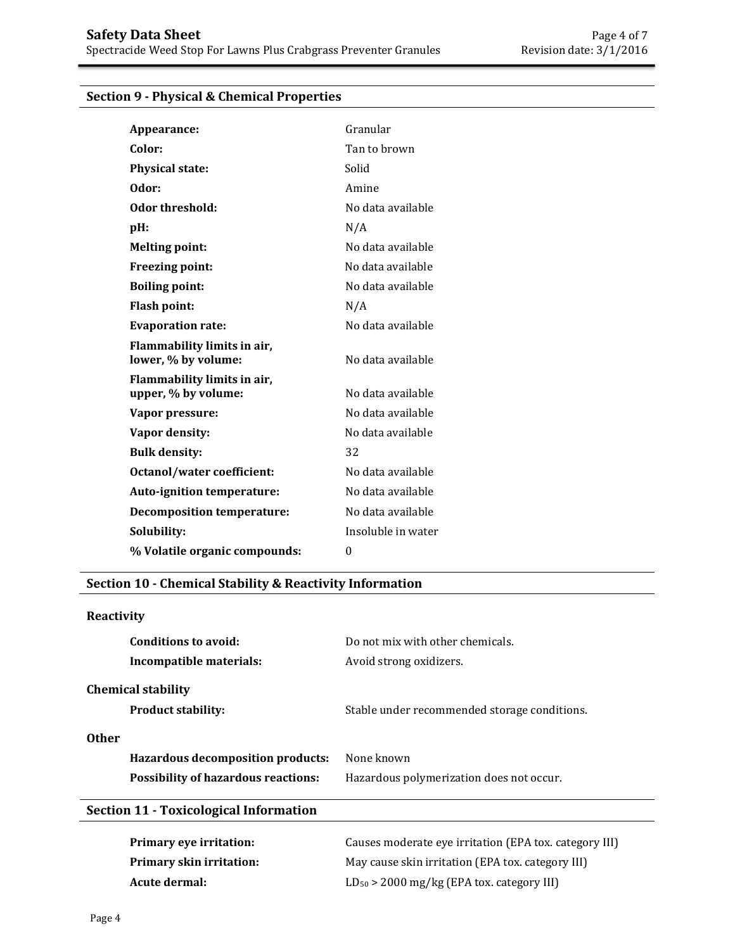# **Section 9 - Physical & Chemical Properties**

| Appearance:                                        | Granular           |
|----------------------------------------------------|--------------------|
| Color:                                             | Tan to brown       |
| <b>Physical state:</b>                             | Solid              |
| Odor:                                              | Amine              |
| Odor threshold:                                    | No data available  |
| pH:                                                | N/A                |
| <b>Melting point:</b>                              | No data available  |
| Freezing point:                                    | No data available  |
| <b>Boiling point:</b>                              | No data available  |
| <b>Flash point:</b>                                | N/A                |
| <b>Evaporation rate:</b>                           | No data available  |
| Flammability limits in air,<br>lower, % by volume: | No data available  |
| Flammability limits in air,<br>upper, % by volume: | No data available  |
| Vapor pressure:                                    | No data available  |
| Vapor density:                                     | No data available  |
| <b>Bulk density:</b>                               | 32                 |
| <b>Octanol/water coefficient:</b>                  | No data available  |
| Auto-ignition temperature:                         | No data available  |
| <b>Decomposition temperature:</b>                  | No data available  |
| Solubility:                                        | Insoluble in water |
| % Volatile organic compounds:                      | $\Omega$           |
|                                                    |                    |

## **Section 10 - Chemical Stability & Reactivity Information**

# **Reactivity**

| Conditions to avoid:<br>Incompatible materials:          | Do not mix with other chemicals.<br>Avoid strong oxidizers. |
|----------------------------------------------------------|-------------------------------------------------------------|
| <b>Chemical stability</b><br><b>Product stability:</b>   | Stable under recommended storage conditions.                |
| <b>Other</b><br><b>Hazardous decomposition products:</b> | None known                                                  |
| <b>Possibility of hazardous reactions:</b>               | Hazardous polymerization does not occur.                    |
| <b>Section 11 - Toxicological Information</b>            |                                                             |

| <b>Primary eye irritation:</b> | Causes moderate eve irritation (EPA tox. category III) |
|--------------------------------|--------------------------------------------------------|
| Primary skin irritation:       | May cause skin irritation (EPA tox. category III)      |
| Acute dermal:                  | $LD_{50}$ > 2000 mg/kg (EPA tox. category III)         |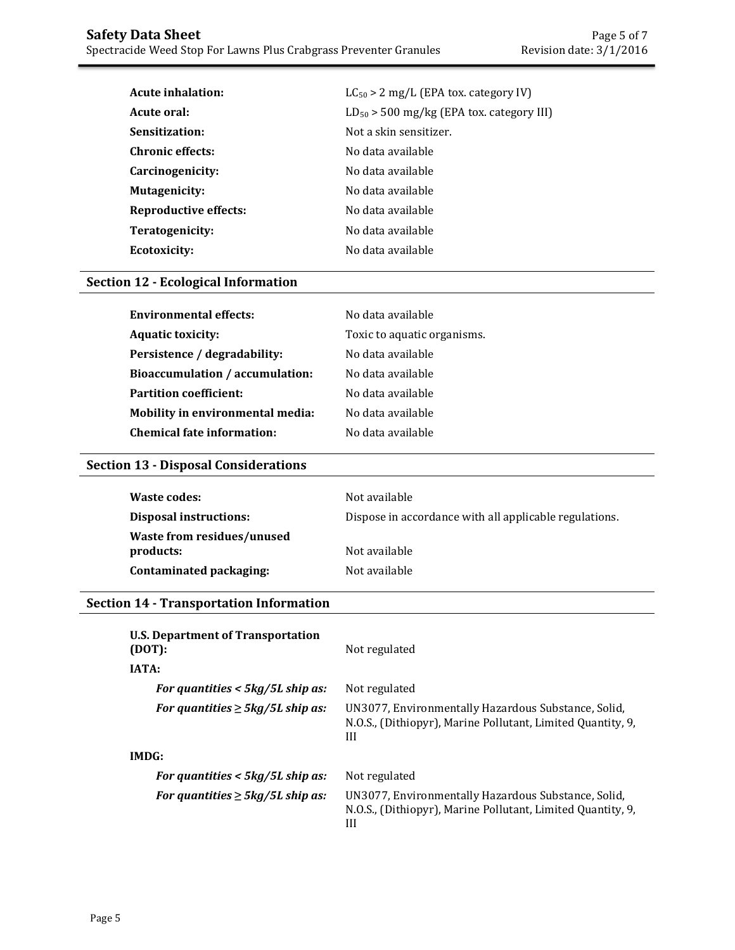| Acute inhalation:     | $LC_{50}$ > 2 mg/L (EPA tox. category IV)     |  |
|-----------------------|-----------------------------------------------|--|
| Acute oral:           | $LD_{50}$ > 500 mg/kg (EPA tox. category III) |  |
| Sensitization:        | Not a skin sensitizer.                        |  |
| Chronic effects:      | No data available                             |  |
| Carcinogenicity:      | No data available                             |  |
| <b>Mutagenicity:</b>  | No data available                             |  |
| Reproductive effects: | No data available                             |  |
| Teratogenicity:       | No data available                             |  |
| Ecotoxicity:          | No data available                             |  |

## **Section 12 - Ecological Information**

| <b>Environmental effects:</b>           | No data available           |
|-----------------------------------------|-----------------------------|
| <b>Aquatic toxicity:</b>                | Toxic to aquatic organisms. |
| Persistence / degradability:            | No data available           |
| <b>Bioaccumulation / accumulation:</b>  | No data available           |
| <b>Partition coefficient:</b>           | No data available           |
| <b>Mobility in environmental media:</b> | No data available           |
| <b>Chemical fate information:</b>       | No data available           |

## **Section 13 - Disposal Considerations**

| Waste codes:                  | Not available                                          |
|-------------------------------|--------------------------------------------------------|
| <b>Disposal instructions:</b> | Dispose in accordance with all applicable regulations. |
| Waste from residues/unused    |                                                        |
| products:                     | Not available                                          |
| Contaminated packaging:       | Not available                                          |

## **Section 14 - Transportation Information**

| <b>U.S. Department of Transportation</b><br>(DOT): | Not regulated                                                                                                           |  |
|----------------------------------------------------|-------------------------------------------------------------------------------------------------------------------------|--|
| <b>IATA:</b>                                       |                                                                                                                         |  |
| For quantities $<$ 5kg/5L ship as:                 | Not regulated                                                                                                           |  |
| For quantities $\geq$ 5kg/5L ship as:              | UN3077, Environmentally Hazardous Substance, Solid,<br>N.O.S., (Dithiopyr), Marine Pollutant, Limited Quantity, 9,<br>Ш |  |
| IMDG:                                              |                                                                                                                         |  |
| For quantities $<$ 5kg/5L ship as:                 | Not regulated                                                                                                           |  |
| For quantities $\geq$ 5kg/5L ship as:              | UN3077, Environmentally Hazardous Substance, Solid,<br>N.O.S., (Dithiopyr), Marine Pollutant, Limited Quantity, 9,<br>Ш |  |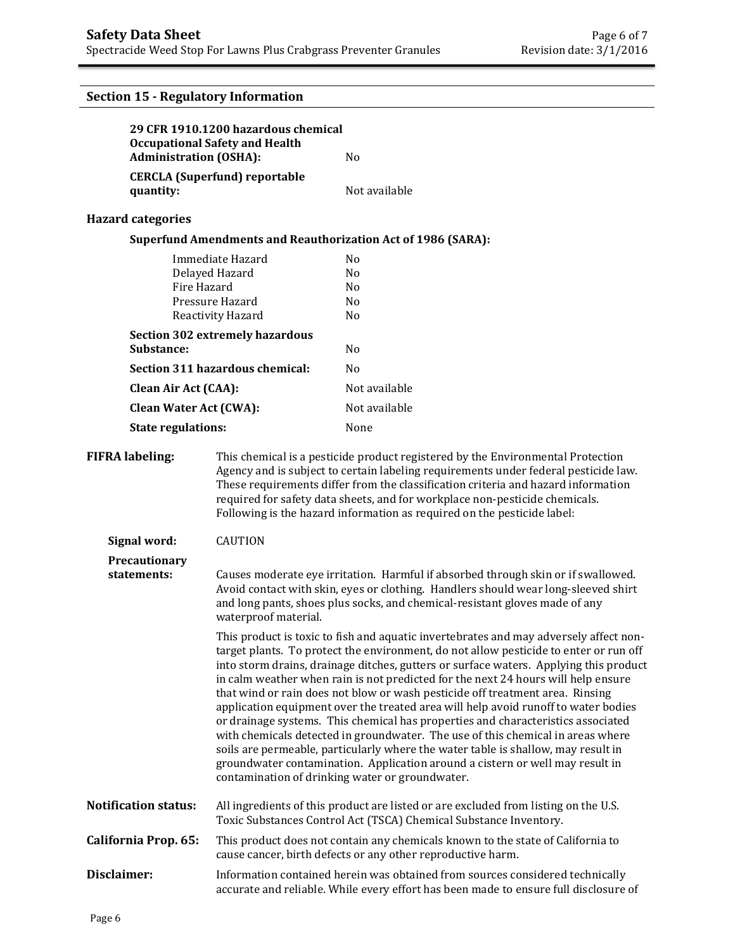# **Section 15 - Regulatory Information**

|             | <b>Administration (OSHA):</b>                                                                                                                                                                                                                                                                                                                                                                                                                                                                                                                                                                                                                                                                                                                                                                                                                                                                                                       | 29 CFR 1910.1200 hazardous chemical<br><b>Occupational Safety and Health</b>                                                                                                                                                                                                   | N <sub>0</sub>                                                                                                                                                                                                                                                                                                                                                                                                        |
|-------------|-------------------------------------------------------------------------------------------------------------------------------------------------------------------------------------------------------------------------------------------------------------------------------------------------------------------------------------------------------------------------------------------------------------------------------------------------------------------------------------------------------------------------------------------------------------------------------------------------------------------------------------------------------------------------------------------------------------------------------------------------------------------------------------------------------------------------------------------------------------------------------------------------------------------------------------|--------------------------------------------------------------------------------------------------------------------------------------------------------------------------------------------------------------------------------------------------------------------------------|-----------------------------------------------------------------------------------------------------------------------------------------------------------------------------------------------------------------------------------------------------------------------------------------------------------------------------------------------------------------------------------------------------------------------|
|             |                                                                                                                                                                                                                                                                                                                                                                                                                                                                                                                                                                                                                                                                                                                                                                                                                                                                                                                                     | <b>CERCLA (Superfund) reportable</b>                                                                                                                                                                                                                                           |                                                                                                                                                                                                                                                                                                                                                                                                                       |
|             | quantity:                                                                                                                                                                                                                                                                                                                                                                                                                                                                                                                                                                                                                                                                                                                                                                                                                                                                                                                           |                                                                                                                                                                                                                                                                                | Not available                                                                                                                                                                                                                                                                                                                                                                                                         |
|             | <b>Hazard categories</b>                                                                                                                                                                                                                                                                                                                                                                                                                                                                                                                                                                                                                                                                                                                                                                                                                                                                                                            |                                                                                                                                                                                                                                                                                |                                                                                                                                                                                                                                                                                                                                                                                                                       |
|             |                                                                                                                                                                                                                                                                                                                                                                                                                                                                                                                                                                                                                                                                                                                                                                                                                                                                                                                                     |                                                                                                                                                                                                                                                                                | <b>Superfund Amendments and Reauthorization Act of 1986 (SARA):</b>                                                                                                                                                                                                                                                                                                                                                   |
|             | Fire Hazard                                                                                                                                                                                                                                                                                                                                                                                                                                                                                                                                                                                                                                                                                                                                                                                                                                                                                                                         | Immediate Hazard<br>Delayed Hazard<br>Pressure Hazard<br>Reactivity Hazard                                                                                                                                                                                                     | N <sub>0</sub><br>No<br>N <sub>0</sub><br>N <sub>0</sub><br>N <sub>0</sub>                                                                                                                                                                                                                                                                                                                                            |
|             |                                                                                                                                                                                                                                                                                                                                                                                                                                                                                                                                                                                                                                                                                                                                                                                                                                                                                                                                     | <b>Section 302 extremely hazardous</b>                                                                                                                                                                                                                                         |                                                                                                                                                                                                                                                                                                                                                                                                                       |
|             | Substance:                                                                                                                                                                                                                                                                                                                                                                                                                                                                                                                                                                                                                                                                                                                                                                                                                                                                                                                          |                                                                                                                                                                                                                                                                                | No                                                                                                                                                                                                                                                                                                                                                                                                                    |
|             |                                                                                                                                                                                                                                                                                                                                                                                                                                                                                                                                                                                                                                                                                                                                                                                                                                                                                                                                     | Section 311 hazardous chemical:                                                                                                                                                                                                                                                | N <sub>0</sub>                                                                                                                                                                                                                                                                                                                                                                                                        |
|             | <b>Clean Air Act (CAA):</b>                                                                                                                                                                                                                                                                                                                                                                                                                                                                                                                                                                                                                                                                                                                                                                                                                                                                                                         |                                                                                                                                                                                                                                                                                | Not available                                                                                                                                                                                                                                                                                                                                                                                                         |
|             | <b>Clean Water Act (CWA):</b>                                                                                                                                                                                                                                                                                                                                                                                                                                                                                                                                                                                                                                                                                                                                                                                                                                                                                                       |                                                                                                                                                                                                                                                                                | Not available                                                                                                                                                                                                                                                                                                                                                                                                         |
|             | <b>State regulations:</b>                                                                                                                                                                                                                                                                                                                                                                                                                                                                                                                                                                                                                                                                                                                                                                                                                                                                                                           |                                                                                                                                                                                                                                                                                | None                                                                                                                                                                                                                                                                                                                                                                                                                  |
|             | <b>FIFRA labeling:</b>                                                                                                                                                                                                                                                                                                                                                                                                                                                                                                                                                                                                                                                                                                                                                                                                                                                                                                              |                                                                                                                                                                                                                                                                                | This chemical is a pesticide product registered by the Environmental Protection<br>Agency and is subject to certain labeling requirements under federal pesticide law.<br>These requirements differ from the classification criteria and hazard information<br>required for safety data sheets, and for workplace non-pesticide chemicals.<br>Following is the hazard information as required on the pesticide label: |
|             | Signal word:                                                                                                                                                                                                                                                                                                                                                                                                                                                                                                                                                                                                                                                                                                                                                                                                                                                                                                                        | <b>CAUTION</b>                                                                                                                                                                                                                                                                 |                                                                                                                                                                                                                                                                                                                                                                                                                       |
|             | Precautionary<br>statements:                                                                                                                                                                                                                                                                                                                                                                                                                                                                                                                                                                                                                                                                                                                                                                                                                                                                                                        | Causes moderate eye irritation. Harmful if absorbed through skin or if swallowed.<br>Avoid contact with skin, eyes or clothing. Handlers should wear long-sleeved shirt<br>and long pants, shoes plus socks, and chemical-resistant gloves made of any<br>waterproof material. |                                                                                                                                                                                                                                                                                                                                                                                                                       |
|             | This product is toxic to fish and aquatic invertebrates and may adversely affect non-<br>target plants. To protect the environment, do not allow pesticide to enter or run off<br>into storm drains, drainage ditches, gutters or surface waters. Applying this product<br>in calm weather when rain is not predicted for the next 24 hours will help ensure<br>that wind or rain does not blow or wash pesticide off treatment area. Rinsing<br>application equipment over the treated area will help avoid runoff to water bodies<br>or drainage systems. This chemical has properties and characteristics associated<br>with chemicals detected in groundwater. The use of this chemical in areas where<br>soils are permeable, particularly where the water table is shallow, may result in<br>groundwater contamination. Application around a cistern or well may result in<br>contamination of drinking water or groundwater. |                                                                                                                                                                                                                                                                                |                                                                                                                                                                                                                                                                                                                                                                                                                       |
|             | <b>Notification status:</b>                                                                                                                                                                                                                                                                                                                                                                                                                                                                                                                                                                                                                                                                                                                                                                                                                                                                                                         |                                                                                                                                                                                                                                                                                | All ingredients of this product are listed or are excluded from listing on the U.S.<br>Toxic Substances Control Act (TSCA) Chemical Substance Inventory.                                                                                                                                                                                                                                                              |
|             | California Prop. 65:                                                                                                                                                                                                                                                                                                                                                                                                                                                                                                                                                                                                                                                                                                                                                                                                                                                                                                                |                                                                                                                                                                                                                                                                                | This product does not contain any chemicals known to the state of California to<br>cause cancer, birth defects or any other reproductive harm.                                                                                                                                                                                                                                                                        |
| Disclaimer: |                                                                                                                                                                                                                                                                                                                                                                                                                                                                                                                                                                                                                                                                                                                                                                                                                                                                                                                                     |                                                                                                                                                                                                                                                                                | Information contained herein was obtained from sources considered technically<br>accurate and reliable. While every effort has been made to ensure full disclosure of                                                                                                                                                                                                                                                 |